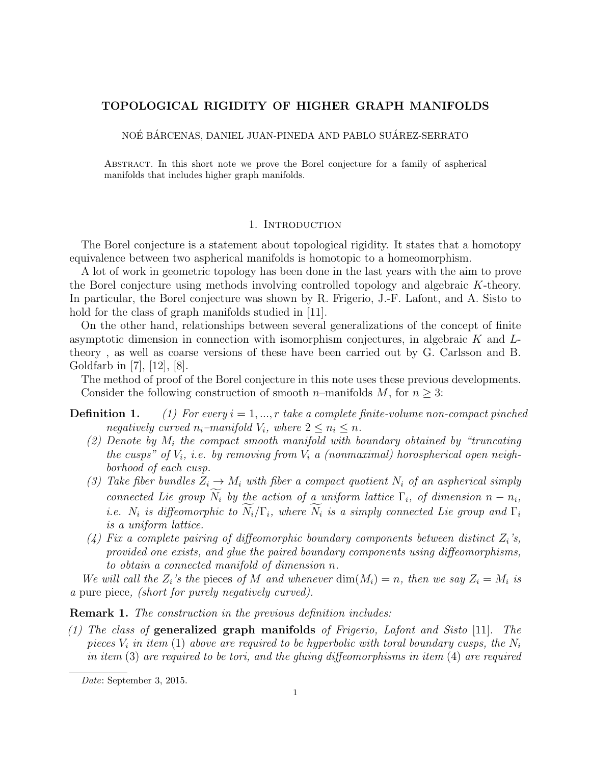# <span id="page-0-0"></span>TOPOLOGICAL RIGIDITY OF HIGHER GRAPH MANIFOLDS

NOÉ BÁRCENAS, DANIEL JUAN-PINEDA AND PABLO SUÁREZ-SERRATO

Abstract. In this short note we prove the Borel conjecture for a family of aspherical manifolds that includes higher graph manifolds.

## 1. INTRODUCTION

The Borel conjecture is a statement about topological rigidity. It states that a homotopy equivalence between two aspherical manifolds is homotopic to a homeomorphism.

A lot of work in geometric topology has been done in the last years with the aim to prove the Borel conjecture using methods involving controlled topology and algebraic *K*-theory. In particular, the Borel conjecture was shown by R. Frigerio, J.-F. Lafont, and A. Sisto to hold for the class of graph manifolds studied in [\[11\]](#page-6-0).

On the other hand, relationships between several generalizations of the concept of finite asymptotic dimension in connection with isomorphism conjectures, in algebraic *K* and *L*theory , as well as coarse versions of these have been carried out by G. Carlsson and B. Goldfarb in [\[7\]](#page-6-1), [\[12\]](#page-6-2), [\[8\]](#page-6-3).

The method of proof of the Borel conjecture in this note uses these previous developments. Consider the following construction of smooth *n*–manifolds *M*, for  $n \geq 3$ :

**Definition 1.** (1) For every  $i = 1, ..., r$  take a complete finite-volume non-compact pinched *negatively curved*  $n_i$ *–manifold*  $V_i$ *, where*  $2 \leq n_i \leq n$ *.* 

- *(2) Denote by M<sup>i</sup> the compact smooth manifold with boundary obtained by "truncating the cusps" of Vi, i.e. by removing from V<sup>i</sup> a (nonmaximal) horospherical open neighborhood of each cusp.*
- (3) Take fiber bundles  $Z_i \to M_i$  with fiber a compact quotient  $N_i$  of an aspherical simply *connected Lie group*  $N_i$  *by the action of a uniform lattice*  $\Gamma_i$ *, of dimension*  $n - n_i$ *, i.e.*  $N_i$  *is diffeomorphic to*  $N_i/\Gamma_i$ *, where*  $N_i$  *is a simply connected Lie group and*  $\Gamma_i$ *is a uniform lattice.*
- $(4)$  *Fix a complete pairing of diffeomorphic boundary components between distinct*  $Z_i$ 's, *provided one exists, and glue the paired boundary components using diffeomorphisms, to obtain a connected manifold of dimension n.*

*We will call the*  $Z_i$ *'s the* pieces of *M* and whenever  $\dim(M_i) = n$ , then we say  $Z_i = M_i$  is *a* pure piece*, (short for purely negatively curved).*

Remark 1. *The construction in the previous definition includes:*

*(1) The class of* generalized graph manifolds *of Frigerio, Lafont and Sisto* [\[11\]](#page-6-0)*. The pieces*  $V_i$  *in item* (1) *above are required to be hyperbolic with toral boundary cusps, the*  $N_i$ *in item* (3) are required to be tori, and the gluing diffeomorphisms in item (4) are required

*Date*: September 3, 2015.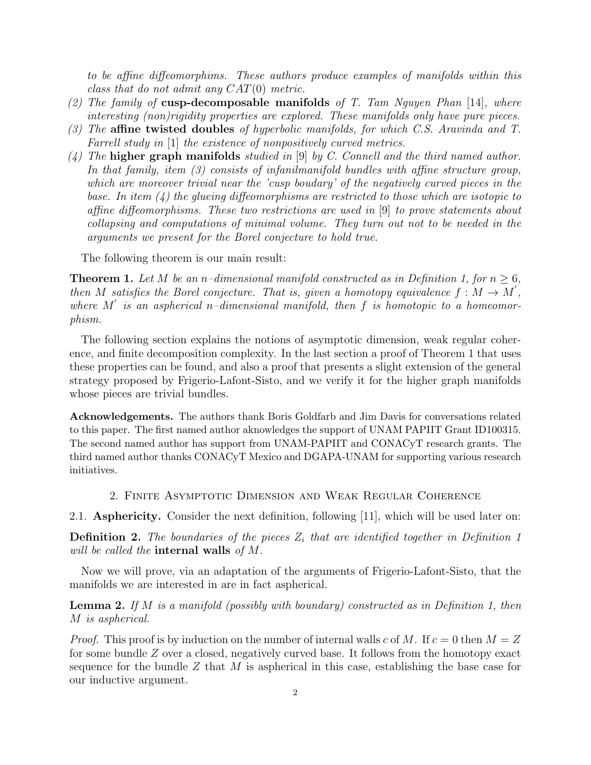*to be affine diffeomorphims. These authors produce examples of manifolds within this class that do not admit any CAT*(0) *metric.*

- *(2) The family of* cusp-decomposable manifolds *of T. Tam Nguyen Phan* [\[14\]](#page-7-0)*, where interesting (non)rigidity properties are explored. These manifolds only have pure pieces.*
- *(3)* The **affine twisted doubles** *of hyperbolic manifolds, for which C.S. Aravinda and T. Farrell study in* [\[1\]](#page-6-4) *the existence of nonpositively curved metrics.*
- *(4) The* higher graph manifolds *studied in* [\[9\]](#page-6-5) *by C. Connell and the third named author. In that family, item (3) consists of infanilmanifold bundles with affine structure group, which are moreover trivial near the 'cusp boudary' of the negatively curved pieces in the base. In item (4) the glueing diffeomorphisms are restricted to those which are isotopic to affine diffeomorphisms. These two restrictions are used in* [\[9\]](#page-6-5) *to prove statements about collapsing and computations of minimal volume. They turn out not to be needed in the arguments we present for the Borel conjecture to hold true.*

The following theorem is our main result:

<span id="page-1-0"></span>**Theorem 1.** Let M be an *n*–dimensional manifold constructed as in Definition [1,](#page-0-0) for  $n \geq 6$ , *then M* satisfies the Borel conjecture. That is, given a homotopy equivalence  $f : M \to M'$ , where  $M'$  is an aspherical *n*-dimensional manifold, then  $f$  is homotopic to a homeomor*phism.*

The following section explains the notions of asymptotic dimension, weak regular coherence, and finite decomposition complexity. In the last section a proof of Theorem [1](#page-1-0) that uses these properties can be found, and also a proof that presents a slight extension of the general strategy proposed by Frigerio-Lafont-Sisto, and we verify it for the higher graph manifolds whose pieces are trivial bundles.

Acknowledgements. The authors thank Boris Goldfarb and Jim Davis for conversations related to this paper. The first named author aknowledges the support of UNAM PAPIIT Grant ID100315. The second named author has support from UNAM-PAPIIT and CONACyT research grants. The third named author thanks CONACyT Mexico and DGAPA-UNAM for supporting various research initiatives.

2. Finite Asymptotic Dimension and Weak Regular Coherence

2.1. Asphericity. Consider the next definition, following [\[11\]](#page-6-0), which will be used later on:

**Definition 2.** The boundaries of the pieces  $Z_i$  that are identified together in Definition [1](#page-0-0) *will be called the* internal walls *of M.*

Now we will prove, via an adaptation of the arguments of Frigerio-Lafont-Sisto, that the manifolds we are interested in are in fact aspherical.

Lemma 2. *If M is a manifold (possibly with boundary) constructed as in Definition [1,](#page-0-0) then M is aspherical.*

*Proof.* This proof is by induction on the number of internal walls *c* of *M*. If  $c = 0$  then  $M = Z$ for some bundle *Z* over a closed, negatively curved base. It follows from the homotopy exact sequence for the bundle *Z* that *M* is aspherical in this case, establishing the base case for our inductive argument.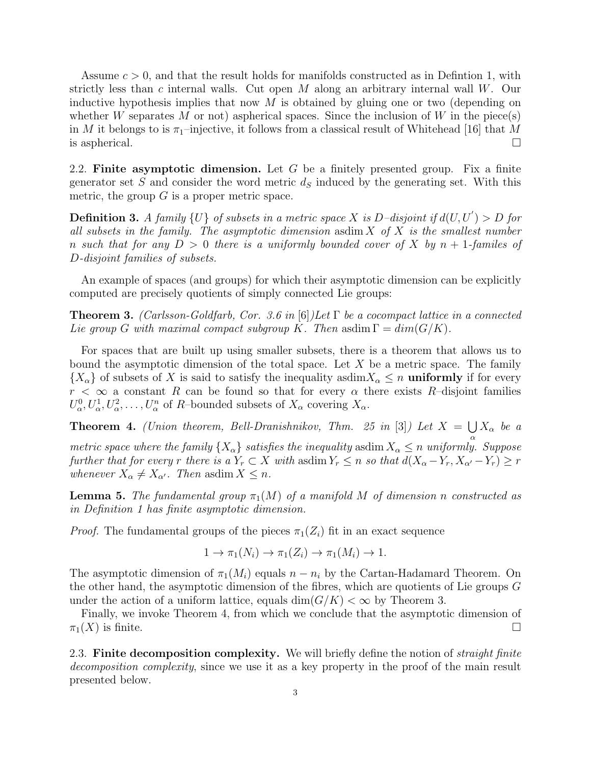Assume *c >* 0, and that the result holds for manifolds constructed as in Defintion [1,](#page-0-0) with strictly less than *c* internal walls. Cut open *M* along an arbitrary internal wall *W*. Our inductive hypothesis implies that now *M* is obtained by gluing one or two (depending on whether *W* separates *M* or not) aspherical spaces. Since the inclusion of *W* in the piece(s) in *M* it belongs to is  $\pi_1$ –injective, it follows from a classical result of Whitehead [\[16\]](#page-7-1) that *M* is aspherical.  $\Box$ 

2.2. Finite asymptotic dimension. Let *G* be a finitely presented group. Fix a finite generator set *S* and consider the word metric  $d<sub>S</sub>$  induced by the generating set. With this metric, the group  $G$  is a proper metric space.

**Definition 3.** A family  $\{U\}$  of subsets in a metric space  $X$  is  $D$ *–disjoint if*  $d(U, U') > D$  for *all subsets in the family. The asymptotic dimension* asdim *X of X is the smallest number n such that for any D >* 0 *there is a uniformly bounded cover of X by n* + 1*-familes of D-disjoint families of subsets.*

An example of spaces (and groups) for which their asymptotic dimension can be explicitly computed are precisely quotients of simply connected Lie groups:

<span id="page-2-0"></span>**Theorem 3.** *(Carlsson-Goldfarb, Cor. 3.6 in* [\[6\]](#page-6-6)*)Let*  $\Gamma$  *be a cocompact lattice in a connected Lie group G with maximal compact subgroup K. Then* asdim  $\Gamma = dim(G/K)$ *.* 

For spaces that are built up using smaller subsets, there is a theorem that allows us to bound the asymptotic dimension of the total space. Let *X* be a metric space. The family  ${X_\alpha}$  of subsets of *X* is said to satisfy the inequality asdim $X_\alpha \leq n$  uniformly if for every  $r < \infty$  a constant *R* can be found so that for every  $\alpha$  there exists *R*–disjoint families  $U^0_\alpha, U^1_\alpha, U^2_\alpha, \ldots, U^n_\alpha$  of *R*–bounded subsets of  $X_\alpha$  covering  $X_\alpha$ .

<span id="page-2-1"></span>**Theorem 4.** *(Union theorem, Bell-Dranishnikov, Thm. 25 in* [\[3\]](#page-6-7)*)* Let  $X = \bigcup X_\alpha$  be a  $\alpha$ *metric space where the family*  $\{X_{\alpha}\}\$  *satisfies the inequality* asdim  $X_{\alpha} \leq n$  *uniformly. Suppose further that for every r there is a*  $Y_r \subset X$  *with* asdim  $Y_r \leq n$  *so that*  $d(X_\alpha - Y_r, X_{\alpha'} - Y_r) \geq r$ *whenever*  $X_{\alpha} \neq X_{\alpha'}$ *. Then* asdim  $X \leq n$ *.* 

<span id="page-2-2"></span>**Lemma 5.** The fundamental group  $\pi_1(M)$  of a manifold M of dimension *n* constructed as *in Definition [1](#page-0-0) has finite asymptotic dimension.*

*Proof.* The fundamental groups of the pieces  $\pi_1(Z_i)$  fit in an exact sequence

$$
1 \to \pi_1(N_i) \to \pi_1(Z_i) \to \pi_1(M_i) \to 1.
$$

The asymptotic dimension of  $\pi_1(M_i)$  equals  $n - n_i$  by the Cartan-Hadamard Theorem. On the other hand, the asymptotic dimension of the fibres, which are quotients of Lie groups *G* under the action of a uniform lattice, equals  $\dim(G/K) < \infty$  by Theorem [3.](#page-2-0)

Finally, we invoke Theorem [4,](#page-2-1) from which we conclude that the asymptotic dimension of  $\pi_1(X)$  is finite.

2.3. Finite decomposition complexity. We will briefly define the notion of *straight finite decomposition complexity*, since we use it as a key property in the proof of the main result presented below.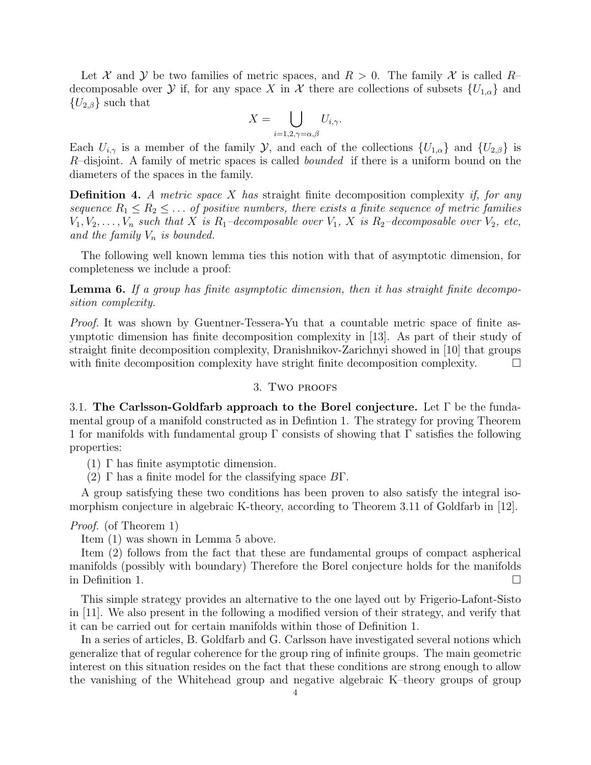Let *X* and *Y* be two families of metric spaces, and  $R > 0$ . The family *X* is called *R*– decomposable over *Y* if, for any space *X* in *X* there are collections of subsets  ${U_{1,\alpha}}$  and  ${U_{2,\beta}}$  such that

$$
X = \bigcup_{i=1,2,\gamma=\alpha,\beta} U_{i,\gamma}.
$$

Each  $U_{i,\gamma}$  is a member of the family *Y*, and each of the collections  $\{U_{1,\alpha}\}\$  and  $\{U_{2,\beta}\}\$  is *R*–disjoint. A family of metric spaces is called *bounded* if there is a uniform bound on the diameters of the spaces in the family.

Definition 4. *A metric space X has* straight finite decomposition complexity *if, for any sequence*  $R_1 \leq R_2 \leq \ldots$  *of positive numbers, there exists a finite sequence of metric families*  $V_1, V_2, \ldots, V_n$  *such that*  $X$  *is*  $R_1$ *–decomposable over*  $V_1$ ,  $X$  *is*  $R_2$ *–decomposable over*  $V_2$ *, etc, and the family V<sup>n</sup> is bounded.*

The following well known lemma ties this notion with that of asymptotic dimension, for completeness we include a proof:

<span id="page-3-0"></span>Lemma 6. *If a group has finite asymptotic dimension, then it has straight finite decomposition complexity.*

*Proof.* It was shown by Guentner-Tessera-Yu that a countable metric space of finite asymptotic dimension has finite decomposition complexity in [\[13\]](#page-6-8). As part of their study of straight finite decomposition complexity, Dranishnikov-Zarichnyi showed in [\[10\]](#page-6-9) that groups with finite decomposition complexity have stright finite decomposition complexity.  $\Box$ 

### 3. Two proofs

3.1. The Carlsson-Goldfarb approach to the Borel conjecture. Let  $\Gamma$  be the fundamental group of a manifold constructed as in Defintion [1.](#page-0-0) The strategy for proving Theorem [1](#page-1-0) for manifolds with fundamental group  $\Gamma$  consists of showing that  $\Gamma$  satisfies the following properties:

- $(1)$   $\Gamma$  has finite asymptotic dimension.
- $(2)$   $\Gamma$  has a finite model for the classifying space  $B\Gamma$ .

A group satisfying these two conditions has been proven to also satisfy the integral isomorphism conjecture in algebraic K-theory, according to Theorem 3.11 of Goldfarb in [\[12\]](#page-6-2).

## *Proof.* (of Theorem [1\)](#page-1-0)

Item (1) was shown in Lemma [5](#page-2-2) above.

Item (2) follows from the fact that these are fundamental groups of compact aspherical manifolds (possibly with boundary) Therefore the Borel conjecture holds for the manifolds in Definition [1.](#page-0-0)  $\Box$ 

This simple strategy provides an alternative to the one layed out by Frigerio-Lafont-Sisto in [\[11\]](#page-6-0). We also present in the following a modified version of their strategy, and verify that it can be carried out for certain manifolds within those of Definition [1.](#page-0-0)

In a series of articles, B. Goldfarb and G. Carlsson have investigated several notions which generalize that of regular coherence for the group ring of infinite groups. The main geometric interest on this situation resides on the fact that these conditions are strong enough to allow the vanishing of the Whitehead group and negative algebraic K–theory groups of group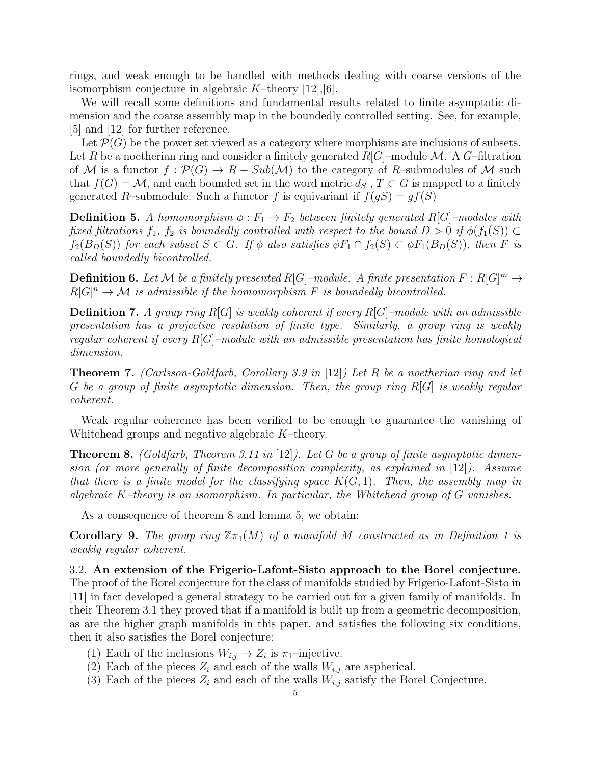rings, and weak enough to be handled with methods dealing with coarse versions of the isomorphism conjecture in algebraic *K*–theory [\[12\]](#page-6-2),[\[6\]](#page-6-6).

We will recall some definitions and fundamental results related to finite asymptotic dimension and the coarse assembly map in the boundedly controlled setting. See, for example, [\[5\]](#page-6-10) and [\[12\]](#page-6-2) for further reference.

Let  $\mathcal{P}(G)$  be the power set viewed as a category where morphisms are inclusions of subsets. Let *R* be a noetherian ring and consider a finitely generated  $R[G]$ –module *M*. A *G*–filtration of M is a functor  $f : \mathcal{P}(G) \to R - Sub(\mathcal{M})$  to the category of R-submodules of M such that  $f(G) = M$ , and each bounded set in the word metric  $d_S$ ,  $T \subset G$  is mapped to a finitely generated *R*–submodule. Such a functor *f* is equivariant if  $f(gS) = gf(S)$ 

**Definition 5.** A homomorphism  $\phi : F_1 \to F_2$  between finitely generated R[G]-modules with *fixed filtrations*  $f_1$ ,  $f_2$  *is boundedly controlled with respect to the bound*  $D > 0$  *if*  $\phi(f_1(S)) \subset$  $f_2(B_D(S))$  *for each subset*  $S \subset G$ *. If*  $\phi$  *also satisfies*  $\phi F_1 \cap f_2(S) \subset \phi F_1(B_D(S))$ *, then F is called boundedly bicontrolled.*

**Definition 6.** Let M be a finitely presented  $R[G]$  –module. A finite presentation  $F: R[G]^m \to \mathbb{R}$  $R[G]^n \to \mathcal{M}$  *is admissible if the homomorphism F is boundedly bicontrolled.* 

Definition 7. *A group ring R*[*G*] *is weakly coherent if every R*[*G*]*–module with an admissible presentation has a projective resolution of finite type. Similarly, a group ring is weakly regular coherent if every R*[*G*]*–module with an admissible presentation has finite homological dimension.*

<span id="page-4-1"></span>Theorem 7. *(Carlsson-Goldfarb, Corollary 3.9 in* [\[12\]](#page-6-2)*) Let R be a noetherian ring and let G be a group of finite asymptotic dimension. Then, the group ring R*[*G*] *is weakly regular coherent.*

Weak regular coherence has been verified to be enough to guarantee the vanishing of Whitehead groups and negative algebraic *K*–theory.

<span id="page-4-0"></span>Theorem 8. *(Goldfarb, Theorem 3.11 in* [\[12\]](#page-6-2)*). Let G be a group of finite asymptotic dimension (or more generally of finite decomposition complexity, as explained in* [\[12\]](#page-6-2)*). Assume that there is a finite model for the classifying space K*(*G,* 1)*. Then, the assembly map in algebraic K–theory is an isomorphism. In particular, the Whitehead group of G vanishes.*

As a consequence of theorem [8](#page-4-0) and lemma [5,](#page-2-2) we obtain:

**Corollary 9.** The group ring  $\mathbb{Z}_{\pi_1}(M)$  of a manifold M constructed as in Definition [1](#page-0-0) is *weakly regular coherent.*

3.2. An extension of the Frigerio-Lafont-Sisto approach to the Borel conjecture. The proof of the Borel conjecture for the class of manifolds studied by Frigerio-Lafont-Sisto in [\[11\]](#page-6-0) in fact developed a general strategy to be carried out for a given family of manifolds. In their Theorem 3.1 they proved that if a manifold is built up from a geometric decomposition, as are the higher graph manifolds in this paper, and satisfies the following six conditions, then it also satisfies the Borel conjecture:

- (1) Each of the inclusions  $W_{i,j} \to Z_i$  is  $\pi_1$ –injective.
- (2) Each of the pieces  $Z_i$  and each of the walls  $W_{i,j}$  are aspherical.
- (3) Each of the pieces  $Z_i$  and each of the walls  $W_{i,j}$  satisfy the Borel Conjecture.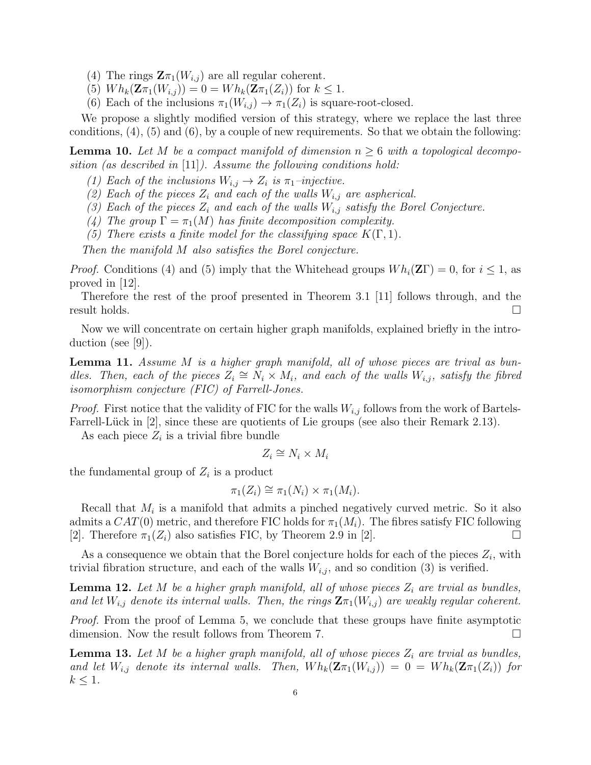- (4) The rings  $\mathbf{Z}\pi_1(W_{i,j})$  are all regular coherent.
- $(5)$   $Wh_k(\mathbf{Z}\pi_1(W_{i,j})) = 0 = Wh_k(\mathbf{Z}\pi_1(Z_i))$  for  $k \leq 1$ .
- (6) Each of the inclusions  $\pi_1(W_{i,j}) \to \pi_1(Z_i)$  is square-root-closed.

We propose a slightly modified version of this strategy, where we replace the last three conditions,  $(4)$ ,  $(5)$  and  $(6)$ , by a couple of new requirements. So that we obtain the following:

<span id="page-5-1"></span>**Lemma 10.** Let M be a compact manifold of dimension  $n \geq 6$  with a topological decompo*sition (as described in* [\[11\]](#page-6-0)*). Assume the following conditions hold:*

- *(1)* Each of the inclusions  $W_{i,j} \to Z_i$  is  $\pi_1$ –injective.
- *(2)* Each of the pieces  $Z_i$  and each of the walls  $W_{i,j}$  are aspherical.
- *(3) Each of the pieces Z<sup>i</sup> and each of the walls Wi,j satisfy the Borel Conjecture.*
- *(4) The group*  $\Gamma = \pi_1(M)$  *has finite decomposition complexity.*
- *(5) There exists a finite model for the classifying space*  $K(\Gamma, 1)$ *.*

*Then the manifold M also satisfies the Borel conjecture.*

*Proof.* Conditions (4) and (5) imply that the Whitehead groups  $Wh_i(\mathbf{Z}\Gamma) = 0$ , for  $i \leq 1$ , as proved in [\[12\]](#page-6-2).

Therefore the rest of the proof presented in Theorem 3.1 [\[11\]](#page-6-0) follows through, and the result holds.  $\Box$ 

Now we will concentrate on certain higher graph manifolds, explained briefly in the introduction (see [\[9\]](#page-6-5)).

<span id="page-5-0"></span>Lemma 11. *Assume M is a higher graph manifold, all of whose pieces are trival as bundles. Then, each of the pieces*  $Z_i \cong N_i \times M_i$ *, and each of the walls*  $W_{i,j}$ *, satisfy the fibred isomorphism conjecture (FIC) of Farrell-Jones.*

*Proof.* First notice that the validity of FIC for the walls  $W_{i,j}$  follows from the work of Bartels-Farrell-Lück in  $|2|$ , since these are quotients of Lie groups (see also their Remark 2.13).

As each piece  $Z_i$  is a trivial fibre bundle

$$
Z_i \cong N_i \times M_i
$$

the fundamental group of  $Z_i$  is a product

$$
\pi_1(Z_i) \cong \pi_1(N_i) \times \pi_1(M_i).
$$

Recall that *M<sup>i</sup>* is a manifold that admits a pinched negatively curved metric. So it also admits a  $CAT(0)$  metric, and therefore FIC holds for  $\pi_1(M_i)$ . The fibres satisfy FIC following [\[2\]](#page-6-11). Therefore  $\pi_1(Z_i)$  also satisfies FIC, by Theorem 2.9 in [2].

As a consequence we obtain that the Borel conjecture holds for each of the pieces  $Z_i$ , with trivial fibration structure, and each of the walls  $W_{i,j}$ , and so condition (3) is verified.

**Lemma 12.** Let  $M$  be a higher graph manifold, all of whose pieces  $Z_i$  are trvial as bundles, and let  $W_{i,j}$  denote its internal walls. Then, the rings  $\mathbf{Z} \pi_1(W_{i,j})$  are weakly regular coherent.

*Proof.* From the proof of Lemma [5,](#page-2-2) we conclude that these groups have finite asymptotic dimension. Now the result follows from Theorem [7.](#page-4-1)  $\Box$ 

<span id="page-5-2"></span>**Lemma 13.** Let *M* be a higher graph manifold, all of whose pieces  $Z_i$  are trvial as bundles, *and let*  $W_{i,j}$  *denote its internal walls. Then,*  $Wh_k(\mathbf{Z}\pi_1(W_{i,j})) = 0 = Wh_k(\mathbf{Z}\pi_1(Z_i))$  for  $k \leq 1$ *.* 6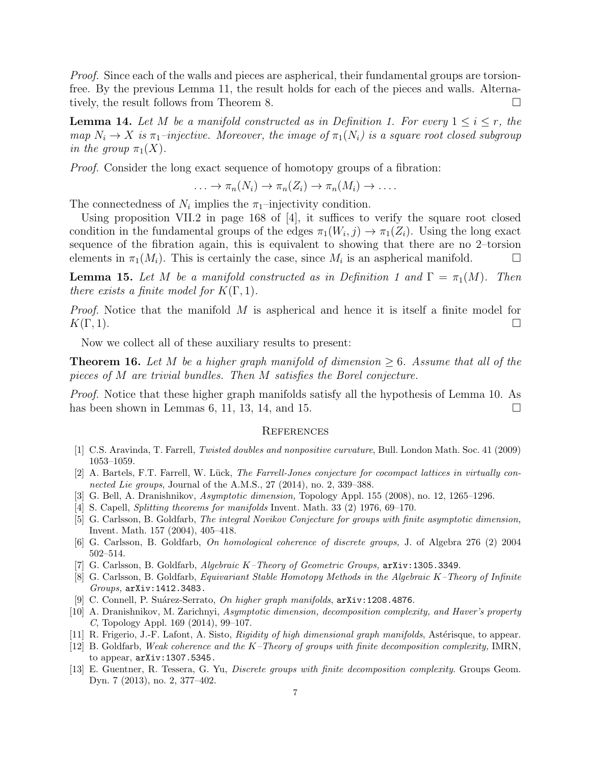*Proof.* Since each of the walls and pieces are aspherical, their fundamental groups are torsionfree. By the previous Lemma [11,](#page-5-0) the result holds for each of the pieces and walls. Alterna-tively, the result follows from Theorem [8.](#page-4-0)  $\Box$ 

<span id="page-6-13"></span>**Lemma 14.** Let *M* be a manifold constructed as in Definition [1.](#page-0-0) For every  $1 \leq i \leq r$ , the  $map N_i \rightarrow X$  *is*  $\pi_1$ *-injective. Moreover, the image of*  $\pi_1(N_i)$  *is a square root closed subgroup in the group*  $\pi_1(X)$ .

*Proof.* Consider the long exact sequence of homotopy groups of a fibration:

$$
\ldots \to \pi_n(N_i) \to \pi_n(Z_i) \to \pi_n(M_i) \to \ldots
$$

The connectedness of  $N_i$  implies the  $\pi_1$ -injectivity condition.

Using proposition VII.2 in page 168 of  $[4]$ , it suffices to verify the square root closed condition in the fundamental groups of the edges  $\pi_1(W_i, j) \to \pi_1(Z_i)$ . Using the long exact sequence of the fibration again, this is equivalent to showing that there are no 2–torsion elements in  $\pi_1(M_i)$ . This is certainly the case, since  $M_i$  is an aspherical manifold.  $\Box$ 

<span id="page-6-14"></span>**Lemma [1](#page-0-0)5.** Let *M* be a manifold constructed as in Definition 1 and  $\Gamma = \pi_1(M)$ . Then *there exists a finite model for*  $K(\Gamma, 1)$ *.* 

*Proof.* Notice that the manifold *M* is aspherical and hence it is itself a finite model for  $K(\Gamma, 1)$ .

Now we collect all of these auxiliary results to present:

**Theorem 16.** Let M be a higher graph manifold of dimension  $\geq 6$ . Assume that all of the *pieces of M are trivial bundles. Then M satisfies the Borel conjecture.*

*Proof.* Notice that these higher graph manifolds satisfy all the hypothesis of Lemma [10.](#page-5-1) As has been shown in Lemmas [6,](#page-3-0) [11,](#page-5-0) [13,](#page-5-2) [14,](#page-6-13) and [15.](#page-6-14)  $\Box$ 

#### **REFERENCES**

- <span id="page-6-4"></span>[1] C.S. Aravinda, T. Farrell, *Twisted doubles and nonpositive curvature*, Bull. London Math. Soc. 41 (2009) 1053–1059.
- <span id="page-6-11"></span>[2] A. Bartels, F.T. Farrell, W. Lück, *The Farrell-Jones conjecture for cocompact lattices in virtually connected Lie groups*, Journal of the A.M.S., 27 (2014), no. 2, 339–388.
- <span id="page-6-7"></span>[3] G. Bell, A. Dranishnikov, *Asymptotic dimension,* Topology Appl. 155 (2008), no. 12, 1265–1296.
- <span id="page-6-12"></span>[4] S. Capell, *Splitting theorems for manifolds* Invent. Math. 33 (2) 1976, 69–170.
- <span id="page-6-10"></span>[5] G. Carlsson, B. Goldfarb, *The integral Novikov Conjecture for groups with finite asymptotic dimension,* Invent. Math. 157 (2004), 405–418.
- <span id="page-6-6"></span>[6] G. Carlsson, B. Goldfarb, *On homological coherence of discrete groups,* J. of Algebra 276 (2) 2004 502–514.
- <span id="page-6-1"></span>[7] G. Carlsson, B. Goldfarb, *Algebraic K–Theory of Geometric Groups,* arXiv:1305.3349.
- <span id="page-6-3"></span>[8] G. Carlsson, B. Goldfarb, *Equivariant Stable Homotopy Methods in the Algebraic K–Theory of Infinite Groups,* arXiv:1412.3483.
- <span id="page-6-5"></span>[9] C. Connell, P. Su´arez-Serrato, *On higher graph manifolds*, arXiv:1208.4876.
- <span id="page-6-9"></span>[10] A. Dranishnikov, M. Zarichnyi, *Asymptotic dimension, decomposition complexity, and Haver's property C*, Topology Appl. 169 (2014), 99–107.
- <span id="page-6-0"></span>[11] R. Frigerio, J.-F. Lafont, A. Sisto, *Rigidity of high dimensional graph manifolds*, Ast´erisque, to appear.
- <span id="page-6-2"></span>[12] B. Goldfarb, *Weak coherence and the K–Theory of groups with finite decomposition complexity,* IMRN, to appear, arXiv:1307.5345.
- <span id="page-6-8"></span>[13] E. Guentner, R. Tessera, G. Yu, *Discrete groups with finite decomposition complexity*. Groups Geom. Dyn. 7 (2013), no. 2, 377–402.